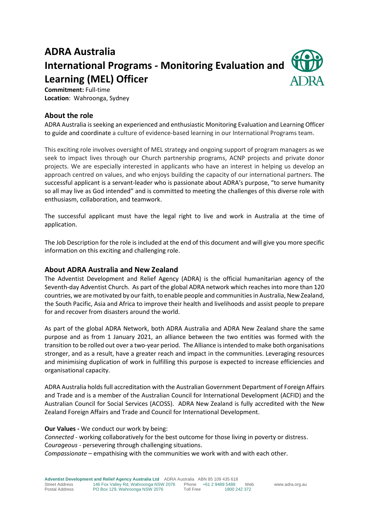# **ADRA Australia International Programs - Monitoring Evaluation and Learning (MEL) Officer**



**Commitment:** Full-time **Location**: Wahroonga, Sydney

# **About the role**

ADRA Australia is seeking an experienced and enthusiastic Monitoring Evaluation and Learning Officer to guide and coordinate a culture of evidence-based learning in our International Programs team.

This exciting role involves oversight of MEL strategy and ongoing support of program managers as we seek to impact lives through our Church partnership programs, ACNP projects and private donor projects. We are especially interested in applicants who have an interest in helping us develop an approach centred on values, and who enjoys building the capacity of our international partners. The successful applicant is a servant-leader who is passionate about ADRA's purpose, "to serve humanity so all may live as God intended" and is committed to meeting the challenges of this diverse role with enthusiasm, collaboration, and teamwork.

The successful applicant must have the legal right to live and work in Australia at the time of application.

The Job Description for the role is included at the end of this document and will give you more specific information on this exciting and challenging role.

# **About ADRA Australia and New Zealand**

The Adventist Development and Relief Agency (ADRA) is the official humanitarian agency of the Seventh-day Adventist Church. As part of the global ADRA network which reaches into more than 120 countries, we are motivated by our faith, to enable people and communities in Australia, New Zealand, the South Pacific, Asia and Africa to improve their health and livelihoods and assist people to prepare for and recover from disasters around the world.

As part of the global ADRA Network, both ADRA Australia and ADRA New Zealand share the same purpose and as from 1 January 2021, an alliance between the two entities was formed with the transition to be rolled out over a two-year period. The Alliance is intended to make both organisations stronger, and as a result, have a greater reach and impact in the communities. Leveraging resources and minimising duplication of work in fulfilling this purpose is expected to increase efficiencies and organisational capacity.

ADRA Australia holds full accreditation with the Australian Government Department of Foreign Affairs and Trade and is a member of the Australian Council for International Development (ACFID) and the Australian Council for Social Services (ACOSS). ADRA New Zealand is fully accredited with the New Zealand Foreign Affairs and Trade and Council for International Development.

#### **Our Values -** We conduct our work by being:

*Connected* - working collaboratively for the best outcome for those living in poverty or distress. C*ourageous* - persevering through challenging situations. *Compassionate* – empathising with the communities we work with and with each other.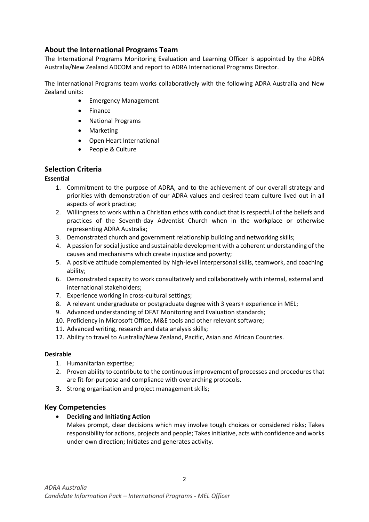# **About the International Programs Team**

The International Programs Monitoring Evaluation and Learning Officer is appointed by the ADRA Australia/New Zealand ADCOM and report to ADRA International Programs Director.

The International Programs team works collaboratively with the following ADRA Australia and New Zealand units:

- Emergency Management
- Finance
- National Programs
- Marketing
- Open Heart International
- People & Culture

# **Selection Criteria**

## **Essential**

- 1. Commitment to the purpose of ADRA, and to the achievement of our overall strategy and priorities with demonstration of our ADRA values and desired team culture lived out in all aspects of work practice;
- 2. Willingness to work within a Christian ethos with conduct that is respectful of the beliefs and practices of the Seventh-day Adventist Church when in the workplace or otherwise representing ADRA Australia;
- 3. Demonstrated church and government relationship building and networking skills;
- 4. A passion for social justice and sustainable development with a coherent understanding of the causes and mechanisms which create injustice and poverty;
- 5. A positive attitude complemented by high-level interpersonal skills, teamwork, and coaching ability;
- 6. Demonstrated capacity to work consultatively and collaboratively with internal, external and international stakeholders;
- 7. Experience working in cross‐cultural settings;
- 8. A relevant undergraduate or postgraduate degree with 3 years+ experience in MEL;
- 9. Advanced understanding of DFAT Monitoring and Evaluation standards;
- 10. Proficiency in Microsoft Office, M&E tools and other relevant software;
- 11. Advanced writing, research and data analysis skills;
- 12. Ability to travel to Australia/New Zealand, Pacific, Asian and African Countries.

#### **Desirable**

- 1. Humanitarian expertise;
- 2. Proven ability to contribute to the continuous improvement of processes and procedures that are fit-for-purpose and compliance with overarching protocols.
- 3. Strong organisation and project management skills;

# **Key Competencies**

#### • **Deciding and Initiating Action**

Makes prompt, clear decisions which may involve tough choices or considered risks; Takes responsibility for actions, projects and people; Takes initiative, acts with confidence and works under own direction; Initiates and generates activity.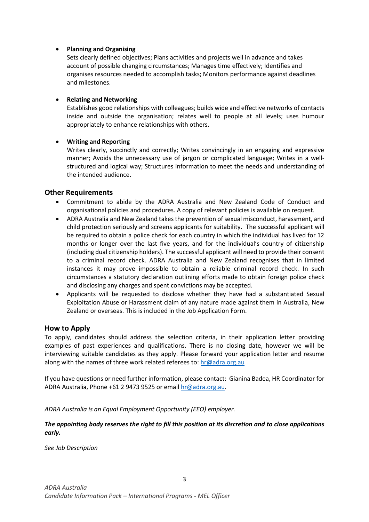## • **Planning and Organising**

Sets clearly defined objectives; Plans activities and projects well in advance and takes account of possible changing circumstances; Manages time effectively; Identifies and organises resources needed to accomplish tasks; Monitors performance against deadlines and milestones.

## • **Relating and Networking**

Establishes good relationships with colleagues; builds wide and effective networks of contacts inside and outside the organisation; relates well to people at all levels; uses humour appropriately to enhance relationships with others.

## • **Writing and Reporting**

Writes clearly, succinctly and correctly; Writes convincingly in an engaging and expressive manner; Avoids the unnecessary use of jargon or complicated language; Writes in a wellstructured and logical way; Structures information to meet the needs and understanding of the intended audience.

# **Other Requirements**

- Commitment to abide by the ADRA Australia and New Zealand Code of Conduct and organisational policies and procedures. A copy of relevant policies is available on request.
- ADRA Australia and New Zealand takes the prevention of sexual misconduct, harassment, and child protection seriously and screens applicants for suitability. The successful applicant will be required to obtain a police check for each country in which the individual has lived for 12 months or longer over the last five years, and for the individual's country of citizenship (including dual citizenship holders). The successful applicant will need to provide their consent to a criminal record check. ADRA Australia and New Zealand recognises that in limited instances it may prove impossible to obtain a reliable criminal record check. In such circumstances a statutory declaration outlining efforts made to obtain foreign police check and disclosing any charges and spent convictions may be accepted.
- Applicants will be requested to disclose whether they have had a substantiated Sexual Exploitation Abuse or Harassment claim of any nature made against them in Australia, New Zealand or overseas. This is included in the Job Application Form.

# **How to Apply**

To apply, candidates should address the selection criteria, in their application letter providing examples of past experiences and qualifications. There is no closing date, however we will be interviewing suitable candidates as they apply. Please forward your application letter and resume along with the names of three work related referees to[: hr@adra.org.au](mailto:hr@adra.org.au)

If you have questions or need further information, please contact: Gianina Badea, HR Coordinator for ADRA Australia, Phone +61 2 9473 9525 or emai[l hr@adra.org.au.](mailto:hr@adra.org.au)

*ADRA Australia is an Equal Employment Opportunity (EEO) employer.*

## *The appointing body reserves the right to fill this position at its discretion and to close applications early.*

*See Job Description*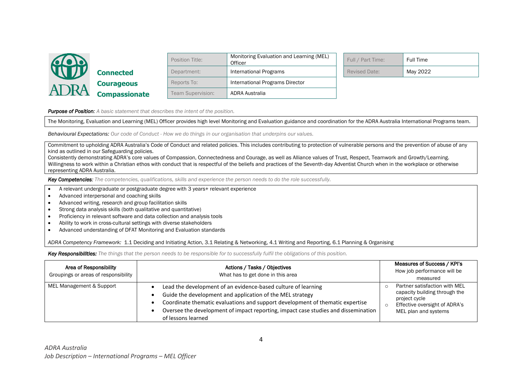

|                      | Position Title:   | Monitoring Evaluation and Learning (MEL)<br>Officer | Full / Part Time:    | Full Time |
|----------------------|-------------------|-----------------------------------------------------|----------------------|-----------|
| <b>Connected</b>     | Department:       | International Programs                              | <b>Revised Date:</b> | May 2022  |
| <b>Courageous</b>    | Reports To:       | International Programs Director                     |                      |           |
| <b>Compassionate</b> | Team Supervision: | <b>ADRA Australia</b>                               |                      |           |

| Full / Part Time:    | Full Time |
|----------------------|-----------|
| <b>Revised Date:</b> | May 2022  |

*Purpose of Position: A basic statement that describes the intent of the position.*

The Monitoring, Evaluation and Learning (MEL) Officer provides high level Monitoring and Evaluation guidance and coordination for the ADRA Australia International Programs team.

*Behavioural Expectations: Our code of Conduct - How we do things in our organisation that underpins our values.*

Commitment to upholding ADRA Australia's Code of Conduct and related policies. This includes contributing to protection of vulnerable persons and the prevention of abuse of any kind as outlined in our Safeguarding policies.

Consistently demonstrating ADRA's core values of Compassion, Connectedness and Courage, as well as Alliance values of Trust, Respect, Teamwork and Growth/Learning. Willingness to work within a Christian ethos with conduct that is respectful of the beliefs and practices of the Seventh-day Adventist Church when in the workplace or otherwise representing ADRA Australia.

*Key Competencies: The competencies, qualifications, skills and experience the person needs to do the role successfully.*

- A relevant undergraduate or postgraduate degree with 3 years+ relevant experience
- Advanced interpersonal and coaching skills
- Advanced writing, research and group facilitation skills
- Strong data analysis skills (both qualitative and quantitative)
- Proficiency in relevant software and data collection and analysis tools
- Ability to work in cross-cultural settings with diverse stakeholders
- Advanced understanding of DFAT Monitoring and Evaluation standards

*ADRA Competency Framework:* 1.1 Deciding and Initiating Action, 3.1 Relating & Networking, 4.1 Writing and Reporting, 6.1 Planning & Organising

*Key Responsibilities: The things that the person needs to be responsible for to successfully fulfil the obligations of this position.* 

| Area of Responsibility<br>Groupings or areas of responsibility | Actions / Tasks / Objectives<br>What has to get done in this area                                                                                                                                                                                                                                                       | Measures of Success / KPI's<br>How job performance will be<br>measured                                                                   |
|----------------------------------------------------------------|-------------------------------------------------------------------------------------------------------------------------------------------------------------------------------------------------------------------------------------------------------------------------------------------------------------------------|------------------------------------------------------------------------------------------------------------------------------------------|
| MEL Management & Support                                       | Lead the development of an evidence-based culture of learning<br>Guide the development and application of the MEL strategy<br>Coordinate thematic evaluations and support development of thematic expertise<br>Oversee the development of impact reporting, impact case studies and dissemination<br>of lessons learned | Partner satisfaction with MEL<br>capacity building through the<br>project cycle<br>Effective oversight of ADRA's<br>MEL plan and systems |